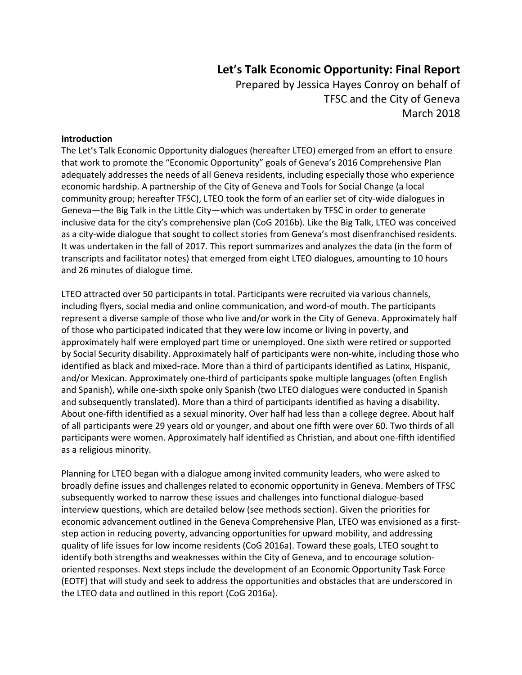# **Let's Talk Economic Opportunity: Final Report**

Prepared by Jessica Hayes Conroy on behalf of TFSC and the City of Geneva March 2018

## **Introduction**

The Let's Talk Economic Opportunity dialogues (hereafter LTEO) emerged from an effort to ensure that work to promote the "Economic Opportunity" goals of Geneva's 2016 Comprehensive Plan adequately addresses the needs of all Geneva residents, including especially those who experience economic hardship. A partnership of the City of Geneva and Tools for Social Change (a local community group; hereafter TFSC), LTEO took the form of an earlier set of city-wide dialogues in Geneva—the Big Talk in the Little City—which was undertaken by TFSC in order to generate inclusive data for the city's comprehensive plan (CoG 2016b). Like the Big Talk, LTEO was conceived as a city-wide dialogue that sought to collect stories from Geneva's most disenfranchised residents. It was undertaken in the fall of 2017. This report summarizes and analyzes the data (in the form of transcripts and facilitator notes) that emerged from eight LTEO dialogues, amounting to 10 hours and 26 minutes of dialogue time.

LTEO attracted over 50 participants in total. Participants were recruited via various channels, including flyers, social media and online communication, and word-of mouth. The participants represent a diverse sample of those who live and/or work in the City of Geneva. Approximately half of those who participated indicated that they were low income or living in poverty, and approximately half were employed part time or unemployed. One sixth were retired or supported by Social Security disability. Approximately half of participants were non‐white, including those who identified as black and mixed-race. More than a third of participants identified as Latinx, Hispanic, and/or Mexican. Approximately one‐third of participants spoke multiple languages (often English and Spanish), while one‐sixth spoke only Spanish (two LTEO dialogues were conducted in Spanish and subsequently translated). More than a third of participants identified as having a disability. About one‐fifth identified as a sexual minority. Over half had less than a college degree. About half of all participants were 29 years old or younger, and about one fifth were over 60. Two thirds of all participants were women. Approximately half identified as Christian, and about one‐fifth identified as a religious minority.

Planning for LTEO began with a dialogue among invited community leaders, who were asked to broadly define issues and challenges related to economic opportunity in Geneva. Members of TFSC subsequently worked to narrow these issues and challenges into functional dialogue‐based interview questions, which are detailed below (see methods section). Given the priorities for economic advancement outlined in the Geneva Comprehensive Plan, LTEO was envisioned as a firststep action in reducing poverty, advancing opportunities for upward mobility, and addressing quality of life issues for low income residents (CoG 2016a). Toward these goals, LTEO sought to identify both strengths and weaknesses within the City of Geneva, and to encourage solutionoriented responses. Next steps include the development of an Economic Opportunity Task Force (EOTF) that will study and seek to address the opportunities and obstacles that are underscored in the LTEO data and outlined in this report (CoG 2016a).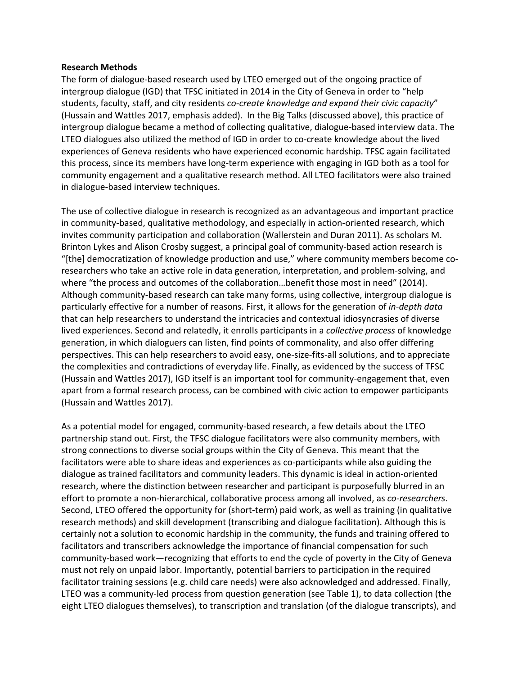#### **Research Methods**

The form of dialogue‐based research used by LTEO emerged out of the ongoing practice of intergroup dialogue (IGD) that TFSC initiated in 2014 in the City of Geneva in order to "help students, faculty, staff, and city residents *co‐create knowledge and expand their civic capacity*" (Hussain and Wattles 2017, emphasis added). In the Big Talks (discussed above), this practice of intergroup dialogue became a method of collecting qualitative, dialogue‐based interview data. The LTEO dialogues also utilized the method of IGD in order to co-create knowledge about the lived experiences of Geneva residents who have experienced economic hardship. TFSC again facilitated this process, since its members have long‐term experience with engaging in IGD both as a tool for community engagement and a qualitative research method. All LTEO facilitators were also trained in dialogue‐based interview techniques.

The use of collective dialogue in research is recognized as an advantageous and important practice in community-based, qualitative methodology, and especially in action-oriented research, which invites community participation and collaboration (Wallerstein and Duran 2011). As scholars M. Brinton Lykes and Alison Crosby suggest, a principal goal of community-based action research is "[the] democratization of knowledge production and use," where community members become co‐ researchers who take an active role in data generation, interpretation, and problem‐solving, and where "the process and outcomes of the collaboration...benefit those most in need" (2014). Although community‐based research can take many forms, using collective, intergroup dialogue is particularly effective for a number of reasons. First, it allows for the generation of *in‐depth data* that can help researchers to understand the intricacies and contextual idiosyncrasies of diverse lived experiences. Second and relatedly, it enrolls participants in a *collective process* of knowledge generation, in which dialoguers can listen, find points of commonality, and also offer differing perspectives. This can help researchers to avoid easy, one‐size‐fits‐all solutions, and to appreciate the complexities and contradictions of everyday life. Finally, as evidenced by the success of TFSC (Hussain and Wattles 2017), IGD itself is an important tool for community-engagement that, even apart from a formal research process, can be combined with civic action to empower participants (Hussain and Wattles 2017).

As a potential model for engaged, community-based research, a few details about the LTEO partnership stand out. First, the TFSC dialogue facilitators were also community members, with strong connections to diverse social groups within the City of Geneva. This meant that the facilitators were able to share ideas and experiences as co-participants while also guiding the dialogue as trained facilitators and community leaders. This dynamic is ideal in action‐oriented research, where the distinction between researcher and participant is purposefully blurred in an effort to promote a non‐hierarchical, collaborative process among all involved, as *co‐researchers*. Second, LTEO offered the opportunity for (short-term) paid work, as well as training (in qualitative research methods) and skill development (transcribing and dialogue facilitation). Although this is certainly not a solution to economic hardship in the community, the funds and training offered to facilitators and transcribers acknowledge the importance of financial compensation for such community-based work—recognizing that efforts to end the cycle of poverty in the City of Geneva must not rely on unpaid labor. Importantly, potential barriers to participation in the required facilitator training sessions (e.g. child care needs) were also acknowledged and addressed. Finally, LTEO was a community‐led process from question generation (see Table 1), to data collection (the eight LTEO dialogues themselves), to transcription and translation (of the dialogue transcripts), and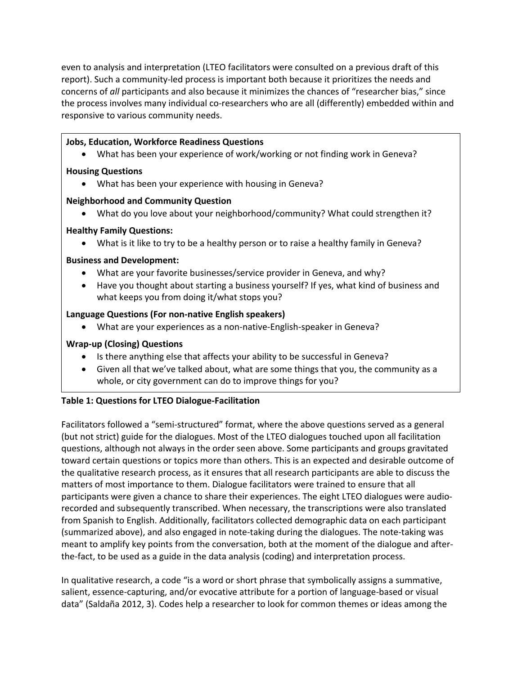even to analysis and interpretation (LTEO facilitators were consulted on a previous draft of this report). Such a community-led process is important both because it prioritizes the needs and concerns of *all* participants and also because it minimizes the chances of "researcher bias," since the process involves many individual co-researchers who are all (differently) embedded within and responsive to various community needs.

# **Jobs, Education, Workforce Readiness Questions**

What has been your experience of work/working or not finding work in Geneva?

# **Housing Questions**

What has been your experience with housing in Geneva?

# **Neighborhood and Community Question**

What do you love about your neighborhood/community? What could strengthen it?

# **Healthy Family Questions:**

What is it like to try to be a healthy person or to raise a healthy family in Geneva?

# **Business and Development:**

- What are your favorite businesses/service provider in Geneva, and why?
- Have you thought about starting a business yourself? If yes, what kind of business and what keeps you from doing it/what stops you?

# **Language Questions (For non‐native English speakers)**

What are your experiences as a non-native-English-speaker in Geneva?

# **Wrap‐up (Closing) Questions**

- Is there anything else that affects your ability to be successful in Geneva?
- Given all that we've talked about, what are some things that you, the community as a whole, or city government can do to improve things for you?

# **Table 1: Questions for LTEO Dialogue‐Facilitation**

Facilitators followed a "semi‐structured" format, where the above questions served as a general (but not strict) guide for the dialogues. Most of the LTEO dialogues touched upon all facilitation questions, although not always in the order seen above. Some participants and groups gravitated toward certain questions or topics more than others. This is an expected and desirable outcome of the qualitative research process, as it ensures that all research participants are able to discuss the matters of most importance to them. Dialogue facilitators were trained to ensure that all participants were given a chance to share their experiences. The eight LTEO dialogues were audio‐ recorded and subsequently transcribed. When necessary, the transcriptions were also translated from Spanish to English. Additionally, facilitators collected demographic data on each participant (summarized above), and also engaged in note‐taking during the dialogues. The note‐taking was meant to amplify key points from the conversation, both at the moment of the dialogue and after‐ the‐fact, to be used as a guide in the data analysis (coding) and interpretation process.

In qualitative research, a code "is a word or short phrase that symbolically assigns a summative, salient, essence-capturing, and/or evocative attribute for a portion of language-based or visual data" (Saldaña 2012, 3). Codes help a researcher to look for common themes or ideas among the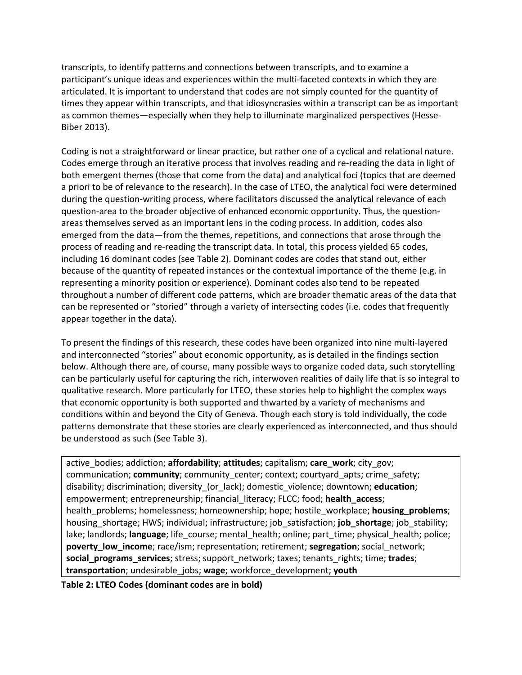transcripts, to identify patterns and connections between transcripts, and to examine a participant's unique ideas and experiences within the multi-faceted contexts in which they are articulated. It is important to understand that codes are not simply counted for the quantity of times they appear within transcripts, and that idiosyncrasies within a transcript can be as important as common themes—especially when they help to illuminate marginalized perspectives (Hesse-Biber 2013).

Coding is not a straightforward or linear practice, but rather one of a cyclical and relational nature. Codes emerge through an iterative process that involves reading and re‐reading the data in light of both emergent themes (those that come from the data) and analytical foci (topics that are deemed a priori to be of relevance to the research). In the case of LTEO, the analytical foci were determined during the question-writing process, where facilitators discussed the analytical relevance of each question-area to the broader objective of enhanced economic opportunity. Thus, the questionareas themselves served as an important lens in the coding process. In addition, codes also emerged from the data—from the themes, repetitions, and connections that arose through the process of reading and re‐reading the transcript data. In total, this process yielded 65 codes, including 16 dominant codes (see Table 2). Dominant codes are codes that stand out, either because of the quantity of repeated instances or the contextual importance of the theme (e.g. in representing a minority position or experience). Dominant codes also tend to be repeated throughout a number of different code patterns, which are broader thematic areas of the data that can be represented or "storied" through a variety of intersecting codes (i.e. codes that frequently appear together in the data).

To present the findings of this research, these codes have been organized into nine multi‐layered and interconnected "stories" about economic opportunity, as is detailed in the findings section below. Although there are, of course, many possible ways to organize coded data, such storytelling can be particularly useful for capturing the rich, interwoven realities of daily life that is so integral to qualitative research. More particularly for LTEO, these stories help to highlight the complex ways that economic opportunity is both supported and thwarted by a variety of mechanisms and conditions within and beyond the City of Geneva. Though each story is told individually, the code patterns demonstrate that these stories are clearly experienced as interconnected, and thus should be understood as such (See Table 3).

active\_bodies; addiction; **affordability**; **attitudes**; capitalism; **care\_work**; city\_gov; communication; **community**; community\_center; context; courtyard\_apts; crime\_safety; disability; discrimination; diversity\_(or\_lack); domestic\_violence; downtown; **education**; empowerment; entrepreneurship; financial\_literacy; FLCC; food; **health\_access**; health\_problems; homelessness; homeownership; hope; hostile\_workplace; **housing\_problems**; housing\_shortage; HWS; individual; infrastructure; job\_satisfaction; **job\_shortage**; job\_stability; lake; landlords; language; life\_course; mental\_health; online; part\_time; physical\_health; police; **poverty\_low\_income**; race/ism; representation; retirement; **segregation**; social\_network; **social\_programs\_services**; stress; support\_network; taxes; tenants\_rights; time; **trades**; **transportation**; undesirable\_jobs; **wage**; workforce\_development; **youth**

**Table 2: LTEO Codes (dominant codes are in bold)**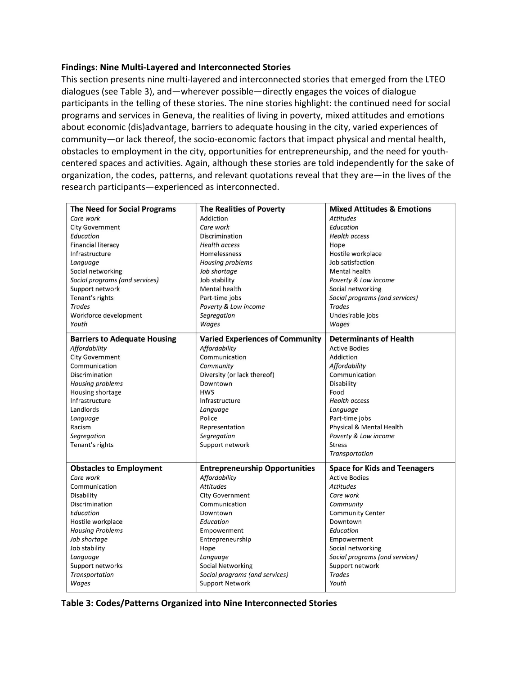## **Findings: Nine Multi‐Layered and Interconnected Stories**

This section presents nine multi-layered and interconnected stories that emerged from the LTEO dialogues (see Table 3), and—wherever possible—directly engages the voices of dialogue participants in the telling of these stories. The nine stories highlight: the continued need for social programs and services in Geneva, the realities of living in poverty, mixed attitudes and emotions about economic (dis)advantage, barriers to adequate housing in the city, varied experiences of community—or lack thereof, the socio‐economic factors that impact physical and mental health, obstacles to employment in the city, opportunities for entrepreneurship, and the need for youth‐ centered spaces and activities. Again, although these stories are told independently for the sake of organization, the codes, patterns, and relevant quotations reveal that they are—in the lives of the research participants—experienced as interconnected.

| <b>The Need for Social Programs</b> | <b>The Realities of Poverty</b>        | <b>Mixed Attitudes &amp; Emotions</b> |
|-------------------------------------|----------------------------------------|---------------------------------------|
| Care work                           | Addiction                              | <b>Attitudes</b>                      |
| <b>City Government</b>              | Care work                              | Education                             |
| Education                           | Discrimination                         | <b>Health access</b>                  |
| <b>Financial literacy</b>           | <b>Health access</b>                   | Hope                                  |
| Infrastructure                      | Homelessness                           | Hostile workplace                     |
| Language                            | Housing problems                       | Job satisfaction                      |
| Social networking                   | Job shortage                           | Mental health                         |
| Social programs (and services)      | Job stability                          | Poverty & Low income                  |
| Support network                     | Mental health                          | Social networking                     |
| Tenant's rights                     | Part-time jobs                         | Social programs (and services)        |
| <b>Trades</b>                       | Poverty & Low income                   | <b>Trades</b>                         |
| Workforce development               | Segregation                            | Undesirable jobs                      |
| Youth                               | Wages                                  | Wages                                 |
| <b>Barriers to Adequate Housing</b> | <b>Varied Experiences of Community</b> | <b>Determinants of Health</b>         |
| Affordability                       | Affordability                          | <b>Active Bodies</b>                  |
| <b>City Government</b>              | Communication                          | Addiction                             |
| Communication                       | Community                              | Affordability                         |
| Discrimination                      | Diversity (or lack thereof)            | Communication                         |
| <b>Housing problems</b>             | Downtown                               | Disability                            |
| Housing shortage                    | <b>HWS</b>                             | Food                                  |
| Infrastructure                      | Infrastructure                         | <b>Health access</b>                  |
| Landlords                           | Language                               | Language                              |
| Language                            | Police                                 | Part-time jobs                        |
| Racism                              | Representation                         | Physical & Mental Health              |
| Segregation                         | Segregation                            | Poverty & Low income                  |
| Tenant's rights                     | Support network                        | <b>Stress</b>                         |
|                                     |                                        | Transportation                        |
| <b>Obstacles to Employment</b>      | <b>Entrepreneurship Opportunities</b>  | <b>Space for Kids and Teenagers</b>   |
| Care work                           | Affordability                          | <b>Active Bodies</b>                  |
| Communication                       | <b>Attitudes</b>                       | <b>Attitudes</b>                      |
| Disability                          | <b>City Government</b>                 | Care work                             |
| Discrimination                      | Communication                          | Community                             |
| Education                           | Downtown                               | <b>Community Center</b>               |
| Hostile workplace                   | Education                              | Downtown                              |
| <b>Housing Problems</b>             | Empowerment                            | Education                             |
| Job shortage                        | Entrepreneurship                       | Empowerment                           |
| Job stability                       | Hope                                   | Social networking                     |
| Language                            | Language                               | Social programs (and services)        |
| Support networks                    | <b>Social Networking</b>               | Support network                       |
| <b>Transportation</b>               | Social programs (and services)         | <b>Trades</b>                         |
| Wages                               | <b>Support Network</b>                 | Youth                                 |
|                                     |                                        |                                       |

**Table 3: Codes/Patterns Organized into Nine Interconnected Stories**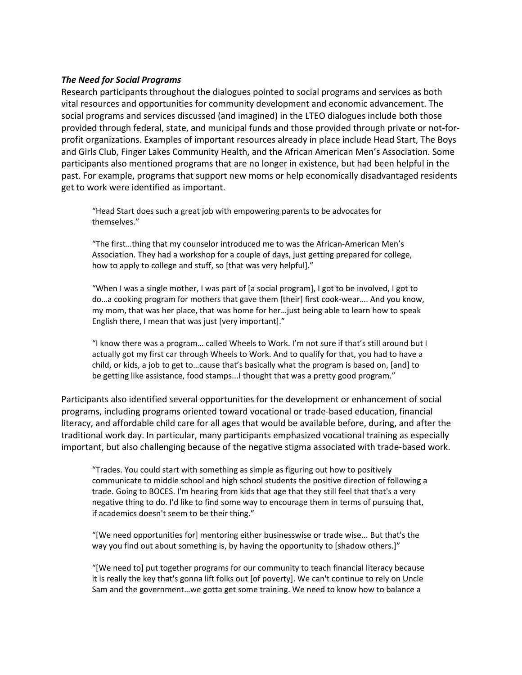## *The Need for Social Programs*

Research participants throughout the dialogues pointed to social programs and services as both vital resources and opportunities for community development and economic advancement. The social programs and services discussed (and imagined) in the LTEO dialogues include both those provided through federal, state, and municipal funds and those provided through private or not‐for‐ profit organizations. Examples of important resources already in place include Head Start, The Boys and Girls Club, Finger Lakes Community Health, and the African American Men's Association. Some participants also mentioned programs that are no longer in existence, but had been helpful in the past. For example, programs that support new moms or help economically disadvantaged residents get to work were identified as important.

"Head Start does such a great job with empowering parents to be advocates for themselves."

"The first…thing that my counselor introduced me to was the African‐American Men's Association. They had a workshop for a couple of days, just getting prepared for college, how to apply to college and stuff, so [that was very helpful]."

"When I was a single mother, I was part of [a social program], I got to be involved, I got to do…a cooking program for mothers that gave them [their] first cook‐wear…. And you know, my mom, that was her place, that was home for her…just being able to learn how to speak English there, I mean that was just [very important]."

"I know there was a program… called Wheels to Work. I'm not sure if that's still around but I actually got my first car through Wheels to Work. And to qualify for that, you had to have a child, or kids, a job to get to…cause that's basically what the program is based on, [and] to be getting like assistance, food stamps...I thought that was a pretty good program."

Participants also identified several opportunities for the development or enhancement of social programs, including programs oriented toward vocational or trade‐based education, financial literacy, and affordable child care for all ages that would be available before, during, and after the traditional work day. In particular, many participants emphasized vocational training as especially important, but also challenging because of the negative stigma associated with trade‐based work.

"Trades. You could start with something as simple as figuring out how to positively communicate to middle school and high school students the positive direction of following a trade. Going to BOCES. I'm hearing from kids that age that they still feel that that's a very negative thing to do. I'd like to find some way to encourage them in terms of pursuing that, if academics doesn't seem to be their thing."

"[We need opportunities for] mentoring either businesswise or trade wise... But that's the way you find out about something is, by having the opportunity to [shadow others.]"

"[We need to] put together programs for our community to teach financial literacy because it is really the key that's gonna lift folks out [of poverty]. We can't continue to rely on Uncle Sam and the government…we gotta get some training. We need to know how to balance a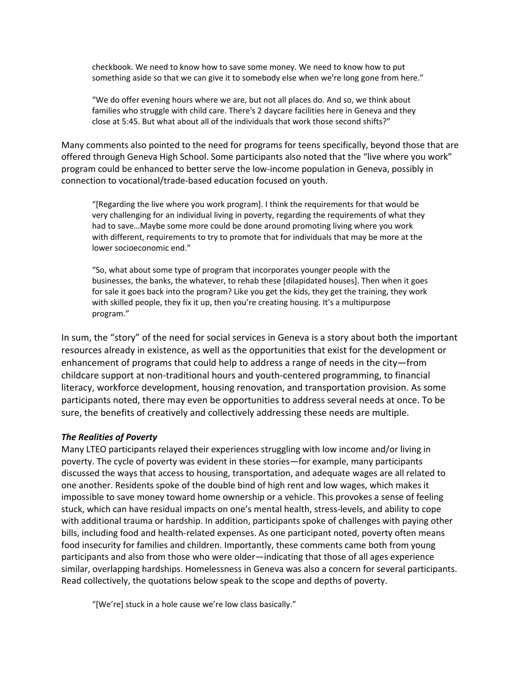checkbook. We need to know how to save some money. We need to know how to put something aside so that we can give it to somebody else when we're long gone from here."

"We do offer evening hours where we are, but not all places do. And so, we think about families who struggle with child care. There's 2 daycare facilities here in Geneva and they close at 5:45. But what about all of the individuals that work those second shifts?"

Many comments also pointed to the need for programs for teens specifically, beyond those that are offered through Geneva High School. Some participants also noted that the "live where you work" program could be enhanced to better serve the low‐income population in Geneva, possibly in connection to vocational/trade‐based education focused on youth.

"[Regarding the live where you work program]. I think the requirements for that would be very challenging for an individual living in poverty, regarding the requirements of what they had to save…Maybe some more could be done around promoting living where you work with different, requirements to try to promote that for individuals that may be more at the lower socioeconomic end."

"So, what about some type of program that incorporates younger people with the businesses, the banks, the whatever, to rehab these [dilapidated houses]. Then when it goes for sale it goes back into the program? Like you get the kids, they get the training, they work with skilled people, they fix it up, then you're creating housing. It's a multipurpose program."

In sum, the "story" of the need for social services in Geneva is a story about both the important resources already in existence, as well as the opportunities that exist for the development or enhancement of programs that could help to address a range of needs in the city—from childcare support at non‐traditional hours and youth‐centered programming, to financial literacy, workforce development, housing renovation, and transportation provision. As some participants noted, there may even be opportunities to address several needs at once. To be sure, the benefits of creatively and collectively addressing these needs are multiple.

#### *The Realities of Poverty*

Many LTEO participants relayed their experiences struggling with low income and/or living in poverty. The cycle of poverty was evident in these stories—for example, many participants discussed the ways that access to housing, transportation, and adequate wages are all related to one another. Residents spoke of the double bind of high rent and low wages, which makes it impossible to save money toward home ownership or a vehicle. This provokes a sense of feeling stuck, which can have residual impacts on one's mental health, stress‐levels, and ability to cope with additional trauma or hardship. In addition, participants spoke of challenges with paying other bills, including food and health-related expenses. As one participant noted, poverty often means food insecurity for families and children. Importantly, these comments came both from young participants and also from those who were older—indicating that those of all ages experience similar, overlapping hardships. Homelessness in Geneva was also a concern for several participants. Read collectively, the quotations below speak to the scope and depths of poverty.

"[We're] stuck in a hole cause we're low class basically."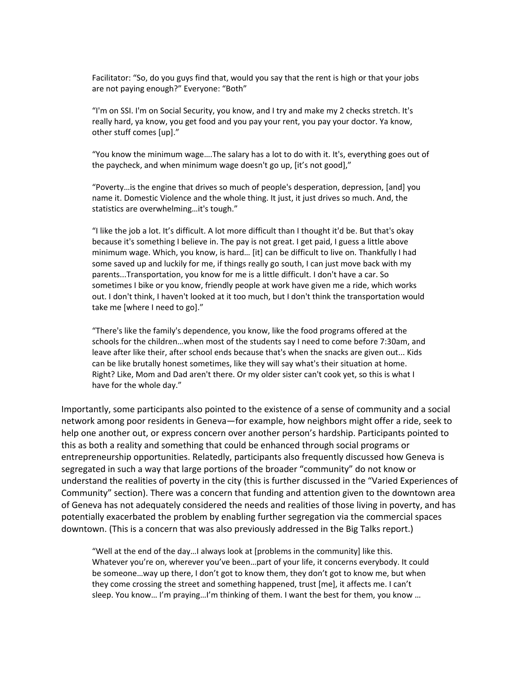Facilitator: "So, do you guys find that, would you say that the rent is high or that your jobs are not paying enough?" Everyone: "Both"

"I'm on SSI. I'm on Social Security, you know, and I try and make my 2 checks stretch. It's really hard, ya know, you get food and you pay your rent, you pay your doctor. Ya know, other stuff comes [up]."

"You know the minimum wage….The salary has a lot to do with it. It's, everything goes out of the paycheck, and when minimum wage doesn't go up, [it's not good],"

"Poverty…is the engine that drives so much of people's desperation, depression, [and] you name it. Domestic Violence and the whole thing. It just, it just drives so much. And, the statistics are overwhelming…it's tough."

"I like the job a lot. It's difficult. A lot more difficult than I thought it'd be. But that's okay because it's something I believe in. The pay is not great. I get paid, I guess a little above minimum wage. Which, you know, is hard… [it] can be difficult to live on. Thankfully I had some saved up and luckily for me, if things really go south, I can just move back with my parents...Transportation, you know for me is a little difficult. I don't have a car. So sometimes I bike or you know, friendly people at work have given me a ride, which works out. I don't think, I haven't looked at it too much, but I don't think the transportation would take me [where I need to go]."

"There's like the family's dependence, you know, like the food programs offered at the schools for the children…when most of the students say I need to come before 7:30am, and leave after like their, after school ends because that's when the snacks are given out... Kids can be like brutally honest sometimes, like they will say what's their situation at home. Right? Like, Mom and Dad aren't there. Or my older sister can't cook yet, so this is what I have for the whole day."

Importantly, some participants also pointed to the existence of a sense of community and a social network among poor residents in Geneva—for example, how neighbors might offer a ride, seek to help one another out, or express concern over another person's hardship. Participants pointed to this as both a reality and something that could be enhanced through social programs or entrepreneurship opportunities. Relatedly, participants also frequently discussed how Geneva is segregated in such a way that large portions of the broader "community" do not know or understand the realities of poverty in the city (this is further discussed in the "Varied Experiences of Community" section). There was a concern that funding and attention given to the downtown area of Geneva has not adequately considered the needs and realities of those living in poverty, and has potentially exacerbated the problem by enabling further segregation via the commercial spaces downtown. (This is a concern that was also previously addressed in the Big Talks report.)

"Well at the end of the day…I always look at [problems in the community] like this. Whatever you're on, wherever you've been…part of your life, it concerns everybody. It could be someone…way up there, I don't got to know them, they don't got to know me, but when they come crossing the street and something happened, trust [me], it affects me. I can't sleep. You know… I'm praying…I'm thinking of them. I want the best for them, you know …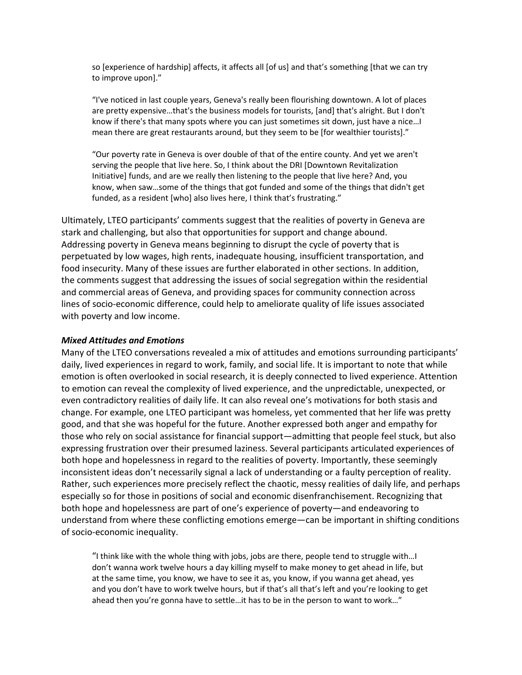so [experience of hardship] affects, it affects all [of us] and that's something [that we can try to improve upon]."

"I've noticed in last couple years, Geneva's really been flourishing downtown. A lot of places are pretty expensive…that's the business models for tourists, [and] that's alright. But I don't know if there's that many spots where you can just sometimes sit down, just have a nice…I mean there are great restaurants around, but they seem to be [for wealthier tourists]."

"Our poverty rate in Geneva is over double of that of the entire county. And yet we aren't serving the people that live here. So, I think about the DRI [Downtown Revitalization Initiative] funds, and are we really then listening to the people that live here? And, you know, when saw…some of the things that got funded and some of the things that didn't get funded, as a resident [who] also lives here, I think that's frustrating."

Ultimately, LTEO participants' comments suggest that the realities of poverty in Geneva are stark and challenging, but also that opportunities for support and change abound. Addressing poverty in Geneva means beginning to disrupt the cycle of poverty that is perpetuated by low wages, high rents, inadequate housing, insufficient transportation, and food insecurity. Many of these issues are further elaborated in other sections. In addition, the comments suggest that addressing the issues of social segregation within the residential and commercial areas of Geneva, and providing spaces for community connection across lines of socio‐economic difference, could help to ameliorate quality of life issues associated with poverty and low income.

#### *Mixed Attitudes and Emotions*

Many of the LTEO conversations revealed a mix of attitudes and emotions surrounding participants' daily, lived experiences in regard to work, family, and social life. It is important to note that while emotion is often overlooked in social research, it is deeply connected to lived experience. Attention to emotion can reveal the complexity of lived experience, and the unpredictable, unexpected, or even contradictory realities of daily life. It can also reveal one's motivations for both stasis and change. For example, one LTEO participant was homeless, yet commented that her life was pretty good, and that she was hopeful for the future. Another expressed both anger and empathy for those who rely on social assistance for financial support—admitting that people feel stuck, but also expressing frustration over their presumed laziness. Several participants articulated experiences of both hope and hopelessness in regard to the realities of poverty. Importantly, these seemingly inconsistent ideas don't necessarily signal a lack of understanding or a faulty perception of reality. Rather, such experiences more precisely reflect the chaotic, messy realities of daily life, and perhaps especially so for those in positions of social and economic disenfranchisement. Recognizing that both hope and hopelessness are part of one's experience of poverty—and endeavoring to understand from where these conflicting emotions emerge—can be important in shifting conditions of socio‐economic inequality.

"I think like with the whole thing with jobs, jobs are there, people tend to struggle with…I don't wanna work twelve hours a day killing myself to make money to get ahead in life, but at the same time, you know, we have to see it as, you know, if you wanna get ahead, yes and you don't have to work twelve hours, but if that's all that's left and you're looking to get ahead then you're gonna have to settle…it has to be in the person to want to work…"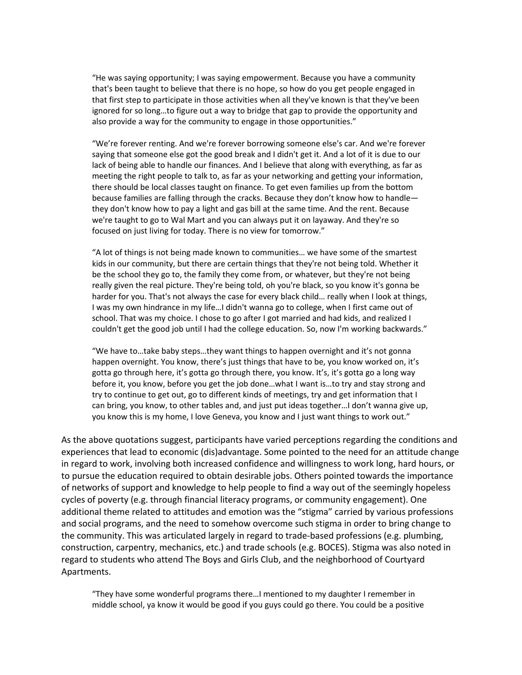"He was saying opportunity; I was saying empowerment. Because you have a community that's been taught to believe that there is no hope, so how do you get people engaged in that first step to participate in those activities when all they've known is that they've been ignored for so long…to figure out a way to bridge that gap to provide the opportunity and also provide a way for the community to engage in those opportunities."

"We're forever renting. And we're forever borrowing someone else's car. And we're forever saying that someone else got the good break and I didn't get it. And a lot of it is due to our lack of being able to handle our finances. And I believe that along with everything, as far as meeting the right people to talk to, as far as your networking and getting your information, there should be local classes taught on finance. To get even families up from the bottom because families are falling through the cracks. Because they don't know how to handle they don't know how to pay a light and gas bill at the same time. And the rent. Because we're taught to go to Wal Mart and you can always put it on layaway. And they're so focused on just living for today. There is no view for tomorrow."

"A lot of things is not being made known to communities… we have some of the smartest kids in our community, but there are certain things that they're not being told. Whether it be the school they go to, the family they come from, or whatever, but they're not being really given the real picture. They're being told, oh you're black, so you know it's gonna be harder for you. That's not always the case for every black child… really when I look at things, I was my own hindrance in my life…I didn't wanna go to college, when I first came out of school. That was my choice. I chose to go after I got married and had kids, and realized I couldn't get the good job until I had the college education. So, now I'm working backwards."

"We have to…take baby steps…they want things to happen overnight and it's not gonna happen overnight. You know, there's just things that have to be, you know worked on, it's gotta go through here, it's gotta go through there, you know. It's, it's gotta go a long way before it, you know, before you get the job done…what I want is…to try and stay strong and try to continue to get out, go to different kinds of meetings, try and get information that I can bring, you know, to other tables and, and just put ideas together…I don't wanna give up, you know this is my home, I love Geneva, you know and I just want things to work out."

As the above quotations suggest, participants have varied perceptions regarding the conditions and experiences that lead to economic (dis)advantage. Some pointed to the need for an attitude change in regard to work, involving both increased confidence and willingness to work long, hard hours, or to pursue the education required to obtain desirable jobs. Others pointed towards the importance of networks of support and knowledge to help people to find a way out of the seemingly hopeless cycles of poverty (e.g. through financial literacy programs, or community engagement). One additional theme related to attitudes and emotion was the "stigma" carried by various professions and social programs, and the need to somehow overcome such stigma in order to bring change to the community. This was articulated largely in regard to trade‐based professions (e.g. plumbing, construction, carpentry, mechanics, etc.) and trade schools (e.g. BOCES). Stigma was also noted in regard to students who attend The Boys and Girls Club, and the neighborhood of Courtyard Apartments.

"They have some wonderful programs there…I mentioned to my daughter I remember in middle school, ya know it would be good if you guys could go there. You could be a positive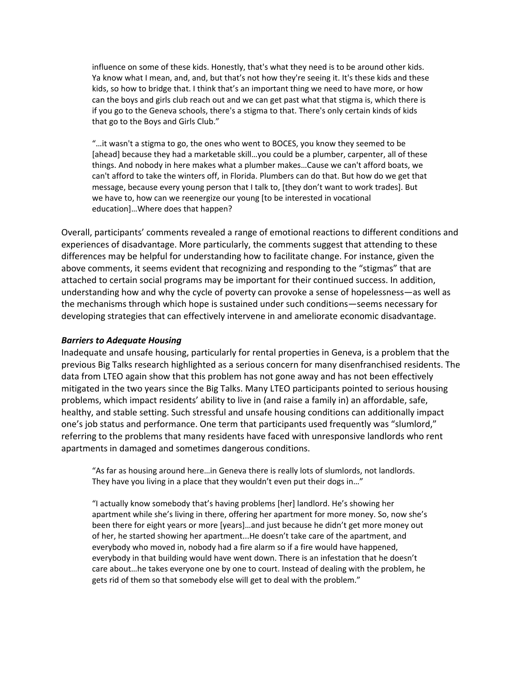influence on some of these kids. Honestly, that's what they need is to be around other kids. Ya know what I mean, and, and, but that's not how they're seeing it. It's these kids and these kids, so how to bridge that. I think that's an important thing we need to have more, or how can the boys and girls club reach out and we can get past what that stigma is, which there is if you go to the Geneva schools, there's a stigma to that. There's only certain kinds of kids that go to the Boys and Girls Club."

"…it wasn't a stigma to go, the ones who went to BOCES, you know they seemed to be [ahead] because they had a marketable skill…you could be a plumber, carpenter, all of these things. And nobody in here makes what a plumber makes…Cause we can't afford boats, we can't afford to take the winters off, in Florida. Plumbers can do that. But how do we get that message, because every young person that I talk to, [they don't want to work trades]. But we have to, how can we reenergize our young [to be interested in vocational education]…Where does that happen?

Overall, participants' comments revealed a range of emotional reactions to different conditions and experiences of disadvantage. More particularly, the comments suggest that attending to these differences may be helpful for understanding how to facilitate change. For instance, given the above comments, it seems evident that recognizing and responding to the "stigmas" that are attached to certain social programs may be important for their continued success. In addition, understanding how and why the cycle of poverty can provoke a sense of hopelessness—as well as the mechanisms through which hope is sustained under such conditions—seems necessary for developing strategies that can effectively intervene in and ameliorate economic disadvantage.

#### *Barriers to Adequate Housing*

Inadequate and unsafe housing, particularly for rental properties in Geneva, is a problem that the previous Big Talks research highlighted as a serious concern for many disenfranchised residents. The data from LTEO again show that this problem has not gone away and has not been effectively mitigated in the two years since the Big Talks. Many LTEO participants pointed to serious housing problems, which impact residents' ability to live in (and raise a family in) an affordable, safe, healthy, and stable setting. Such stressful and unsafe housing conditions can additionally impact one's job status and performance. One term that participants used frequently was "slumlord," referring to the problems that many residents have faced with unresponsive landlords who rent apartments in damaged and sometimes dangerous conditions.

"As far as housing around here…in Geneva there is really lots of slumlords, not landlords. They have you living in a place that they wouldn't even put their dogs in…"

"I actually know somebody that's having problems [her] landlord. He's showing her apartment while she's living in there, offering her apartment for more money. So, now she's been there for eight years or more [years]…and just because he didn't get more money out of her, he started showing her apartment...He doesn't take care of the apartment, and everybody who moved in, nobody had a fire alarm so if a fire would have happened, everybody in that building would have went down. There is an infestation that he doesn't care about…he takes everyone one by one to court. Instead of dealing with the problem, he gets rid of them so that somebody else will get to deal with the problem."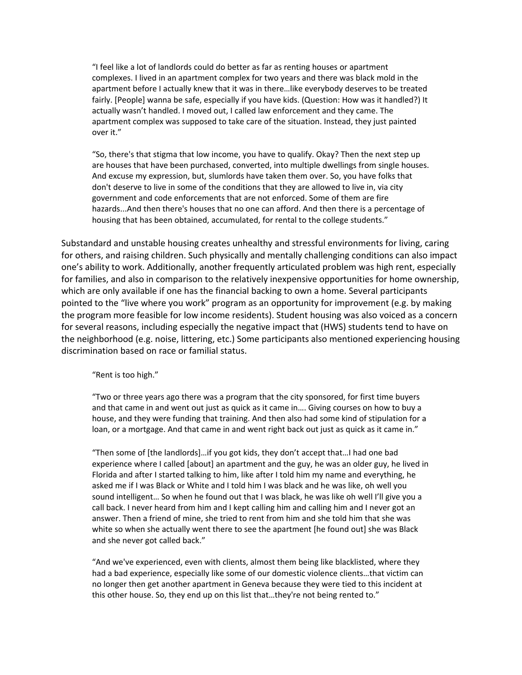"I feel like a lot of landlords could do better as far as renting houses or apartment complexes. I lived in an apartment complex for two years and there was black mold in the apartment before I actually knew that it was in there…like everybody deserves to be treated fairly. [People] wanna be safe, especially if you have kids. (Question: How was it handled?) It actually wasn't handled. I moved out, I called law enforcement and they came. The apartment complex was supposed to take care of the situation. Instead, they just painted over it."

"So, there's that stigma that low income, you have to qualify. Okay? Then the next step up are houses that have been purchased, converted, into multiple dwellings from single houses. And excuse my expression, but, slumlords have taken them over. So, you have folks that don't deserve to live in some of the conditions that they are allowed to live in, via city government and code enforcements that are not enforced. Some of them are fire hazards...And then there's houses that no one can afford. And then there is a percentage of housing that has been obtained, accumulated, for rental to the college students."

Substandard and unstable housing creates unhealthy and stressful environments for living, caring for others, and raising children. Such physically and mentally challenging conditions can also impact one's ability to work. Additionally, another frequently articulated problem was high rent, especially for families, and also in comparison to the relatively inexpensive opportunities for home ownership, which are only available if one has the financial backing to own a home. Several participants pointed to the "live where you work" program as an opportunity for improvement (e.g. by making the program more feasible for low income residents). Student housing was also voiced as a concern for several reasons, including especially the negative impact that (HWS) students tend to have on the neighborhood (e.g. noise, littering, etc.) Some participants also mentioned experiencing housing discrimination based on race or familial status.

"Rent is too high."

"Two or three years ago there was a program that the city sponsored, for first time buyers and that came in and went out just as quick as it came in…. Giving courses on how to buy a house, and they were funding that training. And then also had some kind of stipulation for a loan, or a mortgage. And that came in and went right back out just as quick as it came in."

"Then some of [the landlords]…if you got kids, they don't accept that…I had one bad experience where I called [about] an apartment and the guy, he was an older guy, he lived in Florida and after I started talking to him, like after I told him my name and everything, he asked me if I was Black or White and I told him I was black and he was like, oh well you sound intelligent… So when he found out that I was black, he was like oh well I'll give you a call back. I never heard from him and I kept calling him and calling him and I never got an answer. Then a friend of mine, she tried to rent from him and she told him that she was white so when she actually went there to see the apartment [he found out] she was Black and she never got called back."

"And we've experienced, even with clients, almost them being like blacklisted, where they had a bad experience, especially like some of our domestic violence clients…that victim can no longer then get another apartment in Geneva because they were tied to this incident at this other house. So, they end up on this list that…they're not being rented to."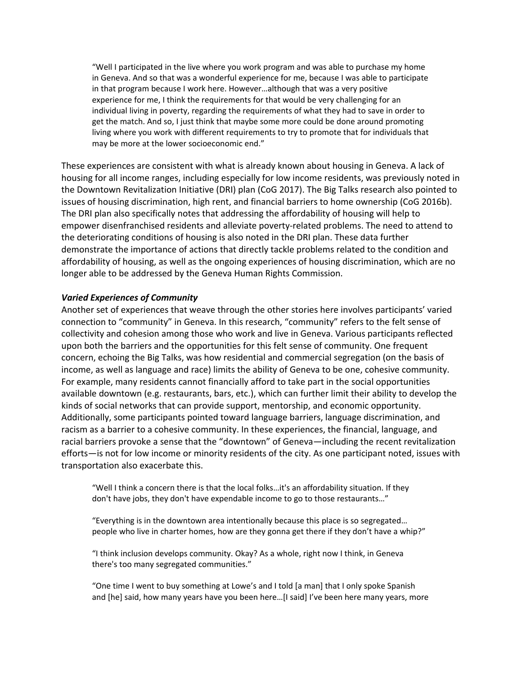"Well I participated in the live where you work program and was able to purchase my home in Geneva. And so that was a wonderful experience for me, because I was able to participate in that program because I work here. However…although that was a very positive experience for me, I think the requirements for that would be very challenging for an individual living in poverty, regarding the requirements of what they had to save in order to get the match. And so, I just think that maybe some more could be done around promoting living where you work with different requirements to try to promote that for individuals that may be more at the lower socioeconomic end."

These experiences are consistent with what is already known about housing in Geneva. A lack of housing for all income ranges, including especially for low income residents, was previously noted in the Downtown Revitalization Initiative (DRI) plan (CoG 2017). The Big Talks research also pointed to issues of housing discrimination, high rent, and financial barriers to home ownership (CoG 2016b). The DRI plan also specifically notes that addressing the affordability of housing will help to empower disenfranchised residents and alleviate poverty-related problems. The need to attend to the deteriorating conditions of housing is also noted in the DRI plan. These data further demonstrate the importance of actions that directly tackle problems related to the condition and affordability of housing, as well as the ongoing experiences of housing discrimination, which are no longer able to be addressed by the Geneva Human Rights Commission.

# *Varied Experiences of Community*

Another set of experiences that weave through the other stories here involves participants' varied connection to "community" in Geneva. In this research, "community" refers to the felt sense of collectivity and cohesion among those who work and live in Geneva. Various participants reflected upon both the barriers and the opportunities for this felt sense of community. One frequent concern, echoing the Big Talks, was how residential and commercial segregation (on the basis of income, as well as language and race) limits the ability of Geneva to be one, cohesive community. For example, many residents cannot financially afford to take part in the social opportunities available downtown (e.g. restaurants, bars, etc.), which can further limit their ability to develop the kinds of social networks that can provide support, mentorship, and economic opportunity. Additionally, some participants pointed toward language barriers, language discrimination, and racism as a barrier to a cohesive community. In these experiences, the financial, language, and racial barriers provoke a sense that the "downtown" of Geneva—including the recent revitalization efforts—is not for low income or minority residents of the city. As one participant noted, issues with transportation also exacerbate this.

"Well I think a concern there is that the local folks…it's an affordability situation. If they don't have jobs, they don't have expendable income to go to those restaurants…"

"Everything is in the downtown area intentionally because this place is so segregated… people who live in charter homes, how are they gonna get there if they don't have a whip?"

"I think inclusion develops community. Okay? As a whole, right now I think, in Geneva there's too many segregated communities."

"One time I went to buy something at Lowe's and I told [a man] that I only spoke Spanish and [he] said, how many years have you been here…[I said] I've been here many years, more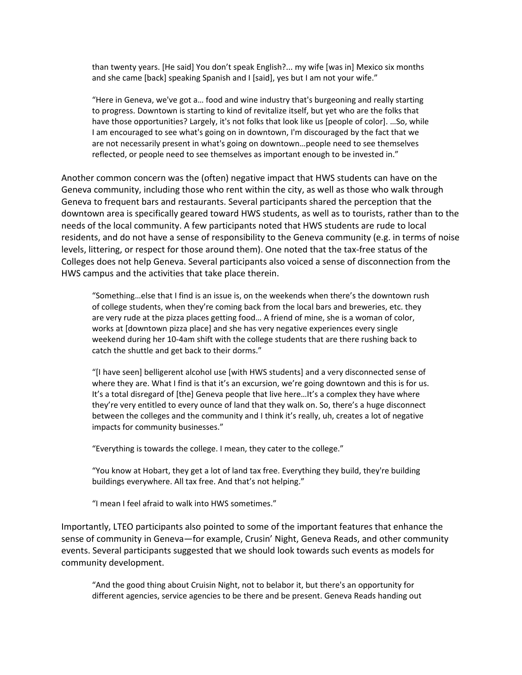than twenty years. [He said] You don't speak English?... my wife [was in] Mexico six months and she came [back] speaking Spanish and I [said], yes but I am not your wife."

"Here in Geneva, we've got a… food and wine industry that's burgeoning and really starting to progress. Downtown is starting to kind of revitalize itself, but yet who are the folks that have those opportunities? Largely, it's not folks that look like us [people of color]. …So, while I am encouraged to see what's going on in downtown, I'm discouraged by the fact that we are not necessarily present in what's going on downtown…people need to see themselves reflected, or people need to see themselves as important enough to be invested in."

Another common concern was the (often) negative impact that HWS students can have on the Geneva community, including those who rent within the city, as well as those who walk through Geneva to frequent bars and restaurants. Several participants shared the perception that the downtown area is specifically geared toward HWS students, as well as to tourists, rather than to the needs of the local community. A few participants noted that HWS students are rude to local residents, and do not have a sense of responsibility to the Geneva community (e.g. in terms of noise levels, littering, or respect for those around them). One noted that the tax‐free status of the Colleges does not help Geneva. Several participants also voiced a sense of disconnection from the HWS campus and the activities that take place therein.

"Something…else that I find is an issue is, on the weekends when there's the downtown rush of college students, when they're coming back from the local bars and breweries, etc. they are very rude at the pizza places getting food… A friend of mine, she is a woman of color, works at [downtown pizza place] and she has very negative experiences every single weekend during her 10‐4am shift with the college students that are there rushing back to catch the shuttle and get back to their dorms."

"[I have seen] belligerent alcohol use [with HWS students] and a very disconnected sense of where they are. What I find is that it's an excursion, we're going downtown and this is for us. It's a total disregard of [the] Geneva people that live here...It's a complex they have where they're very entitled to every ounce of land that they walk on. So, there's a huge disconnect between the colleges and the community and I think it's really, uh, creates a lot of negative impacts for community businesses."

"Everything is towards the college. I mean, they cater to the college."

"You know at Hobart, they get a lot of land tax free. Everything they build, they're building buildings everywhere. All tax free. And that's not helping."

"I mean I feel afraid to walk into HWS sometimes."

Importantly, LTEO participants also pointed to some of the important features that enhance the sense of community in Geneva—for example, Crusin' Night, Geneva Reads, and other community events. Several participants suggested that we should look towards such events as models for community development.

"And the good thing about Cruisin Night, not to belabor it, but there's an opportunity for different agencies, service agencies to be there and be present. Geneva Reads handing out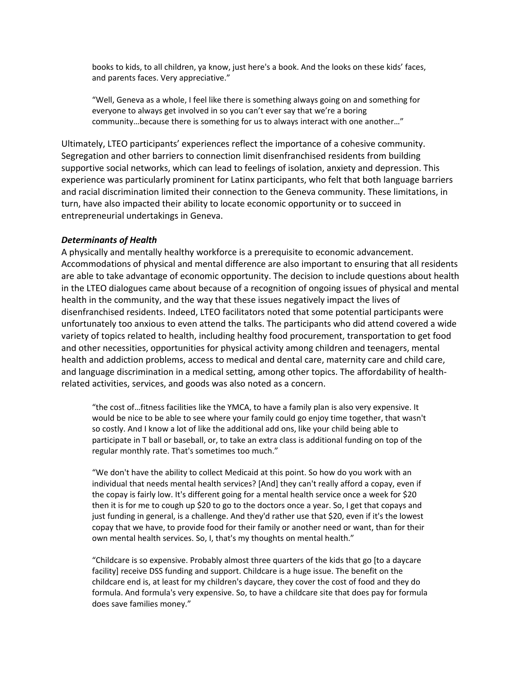books to kids, to all children, ya know, just here's a book. And the looks on these kids' faces, and parents faces. Very appreciative."

"Well, Geneva as a whole, I feel like there is something always going on and something for everyone to always get involved in so you can't ever say that we're a boring community…because there is something for us to always interact with one another…"

Ultimately, LTEO participants' experiences reflect the importance of a cohesive community. Segregation and other barriers to connection limit disenfranchised residents from building supportive social networks, which can lead to feelings of isolation, anxiety and depression. This experience was particularly prominent for Latinx participants, who felt that both language barriers and racial discrimination limited their connection to the Geneva community. These limitations, in turn, have also impacted their ability to locate economic opportunity or to succeed in entrepreneurial undertakings in Geneva.

#### *Determinants of Health*

A physically and mentally healthy workforce is a prerequisite to economic advancement. Accommodations of physical and mental difference are also important to ensuring that all residents are able to take advantage of economic opportunity. The decision to include questions about health in the LTEO dialogues came about because of a recognition of ongoing issues of physical and mental health in the community, and the way that these issues negatively impact the lives of disenfranchised residents. Indeed, LTEO facilitators noted that some potential participants were unfortunately too anxious to even attend the talks. The participants who did attend covered a wide variety of topics related to health, including healthy food procurement, transportation to get food and other necessities, opportunities for physical activity among children and teenagers, mental health and addiction problems, access to medical and dental care, maternity care and child care, and language discrimination in a medical setting, among other topics. The affordability of health‐ related activities, services, and goods was also noted as a concern.

"the cost of…fitness facilities like the YMCA, to have a family plan is also very expensive. It would be nice to be able to see where your family could go enjoy time together, that wasn't so costly. And I know a lot of like the additional add ons, like your child being able to participate in T ball or baseball, or, to take an extra class is additional funding on top of the regular monthly rate. That's sometimes too much."

"We don't have the ability to collect Medicaid at this point. So how do you work with an individual that needs mental health services? [And] they can't really afford a copay, even if the copay is fairly low. It's different going for a mental health service once a week for \$20 then it is for me to cough up \$20 to go to the doctors once a year. So, I get that copays and just funding in general, is a challenge. And they'd rather use that \$20, even if it's the lowest copay that we have, to provide food for their family or another need or want, than for their own mental health services. So, I, that's my thoughts on mental health."

"Childcare is so expensive. Probably almost three quarters of the kids that go [to a daycare facility] receive DSS funding and support. Childcare is a huge issue. The benefit on the childcare end is, at least for my children's daycare, they cover the cost of food and they do formula. And formula's very expensive. So, to have a childcare site that does pay for formula does save families money."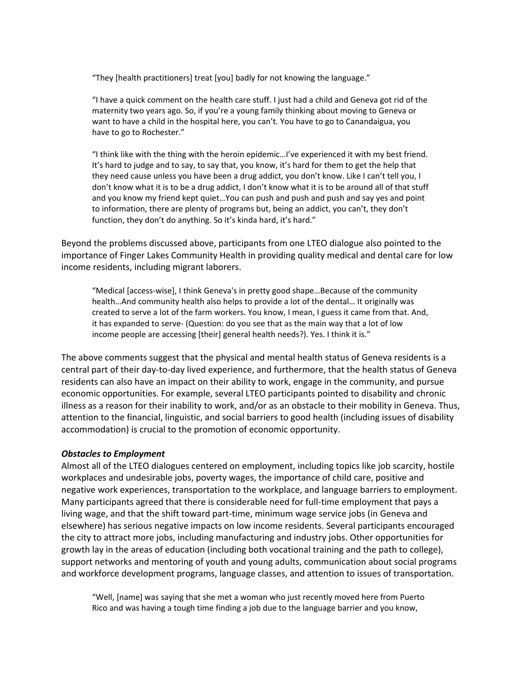"They [health practitioners] treat [you] badly for not knowing the language."

"I have a quick comment on the health care stuff. I just had a child and Geneva got rid of the maternity two years ago. So, if you're a young family thinking about moving to Geneva or want to have a child in the hospital here, you can't. You have to go to Canandaigua, you have to go to Rochester."

"I think like with the thing with the heroin epidemic…I've experienced it with my best friend. It's hard to judge and to say, to say that, you know, it's hard for them to get the help that they need cause unless you have been a drug addict, you don't know. Like I can't tell you, I don't know what it is to be a drug addict, I don't know what it is to be around all of that stuff and you know my friend kept quiet…You can push and push and push and say yes and point to information, there are plenty of programs but, being an addict, you can't, they don't function, they don't do anything. So it's kinda hard, it's hard."

Beyond the problems discussed above, participants from one LTEO dialogue also pointed to the importance of Finger Lakes Community Health in providing quality medical and dental care for low income residents, including migrant laborers.

"Medical [access‐wise], I think Geneva's in pretty good shape…Because of the community health…And community health also helps to provide a lot of the dental… It originally was created to serve a lot of the farm workers. You know, I mean, I guess it came from that. And, it has expanded to serve‐ (Question: do you see that as the main way that a lot of low income people are accessing [their] general health needs?). Yes. I think it is."

The above comments suggest that the physical and mental health status of Geneva residents is a central part of their day‐to‐day lived experience, and furthermore, that the health status of Geneva residents can also have an impact on their ability to work, engage in the community, and pursue economic opportunities. For example, several LTEO participants pointed to disability and chronic illness as a reason for their inability to work, and/or as an obstacle to their mobility in Geneva. Thus, attention to the financial, linguistic, and social barriers to good health (including issues of disability accommodation) is crucial to the promotion of economic opportunity.

## *Obstacles to Employment*

Almost all of the LTEO dialogues centered on employment, including topics like job scarcity, hostile workplaces and undesirable jobs, poverty wages, the importance of child care, positive and negative work experiences, transportation to the workplace, and language barriers to employment. Many participants agreed that there is considerable need for full-time employment that pays a living wage, and that the shift toward part‐time, minimum wage service jobs (in Geneva and elsewhere) has serious negative impacts on low income residents. Several participants encouraged the city to attract more jobs, including manufacturing and industry jobs. Other opportunities for growth lay in the areas of education (including both vocational training and the path to college), support networks and mentoring of youth and young adults, communication about social programs and workforce development programs, language classes, and attention to issues of transportation.

"Well, [name] was saying that she met a woman who just recently moved here from Puerto Rico and was having a tough time finding a job due to the language barrier and you know,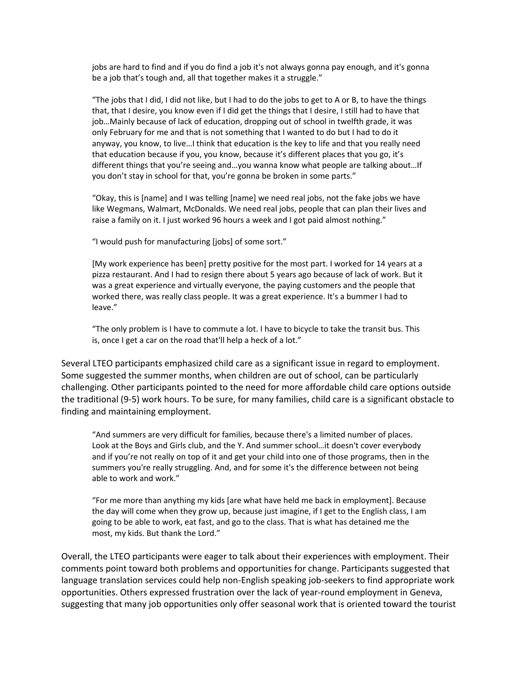jobs are hard to find and if you do find a job it's not always gonna pay enough, and it's gonna be a job that's tough and, all that together makes it a struggle."

"The jobs that I did, I did not like, but I had to do the jobs to get to A or B, to have the things that, that I desire, you know even if I did get the things that I desire, I still had to have that job…Mainly because of lack of education, dropping out of school in twelfth grade, it was only February for me and that is not something that I wanted to do but I had to do it anyway, you know, to live…I think that education is the key to life and that you really need that education because if you, you know, because it's different places that you go, it's different things that you're seeing and…you wanna know what people are talking about…If you don't stay in school for that, you're gonna be broken in some parts."

"Okay, this is [name] and I was telling [name] we need real jobs, not the fake jobs we have like Wegmans, Walmart, McDonalds. We need real jobs, people that can plan their lives and raise a family on it. I just worked 96 hours a week and I got paid almost nothing."

"I would push for manufacturing [jobs] of some sort."

[My work experience has been] pretty positive for the most part. I worked for 14 years at a pizza restaurant. And I had to resign there about 5 years ago because of lack of work. But it was a great experience and virtually everyone, the paying customers and the people that worked there, was really class people. It was a great experience. It's a bummer I had to leave."

"The only problem is I have to commute a lot. I have to bicycle to take the transit bus. This is, once I get a car on the road that'll help a heck of a lot."

Several LTEO participants emphasized child care as a significant issue in regard to employment. Some suggested the summer months, when children are out of school, can be particularly challenging. Other participants pointed to the need for more affordable child care options outside the traditional (9‐5) work hours. To be sure, for many families, child care is a significant obstacle to finding and maintaining employment.

"And summers are very difficult for families, because there's a limited number of places. Look at the Boys and Girls club, and the Y. And summer school…it doesn't cover everybody and if you're not really on top of it and get your child into one of those programs, then in the summers you're really struggling. And, and for some it's the difference between not being able to work and work."

"For me more than anything my kids [are what have held me back in employment]. Because the day will come when they grow up, because just imagine, if I get to the English class, I am going to be able to work, eat fast, and go to the class. That is what has detained me the most, my kids. But thank the Lord."

Overall, the LTEO participants were eager to talk about their experiences with employment. Their comments point toward both problems and opportunities for change. Participants suggested that language translation services could help non‐English speaking job‐seekers to find appropriate work opportunities. Others expressed frustration over the lack of year‐round employment in Geneva, suggesting that many job opportunities only offer seasonal work that is oriented toward the tourist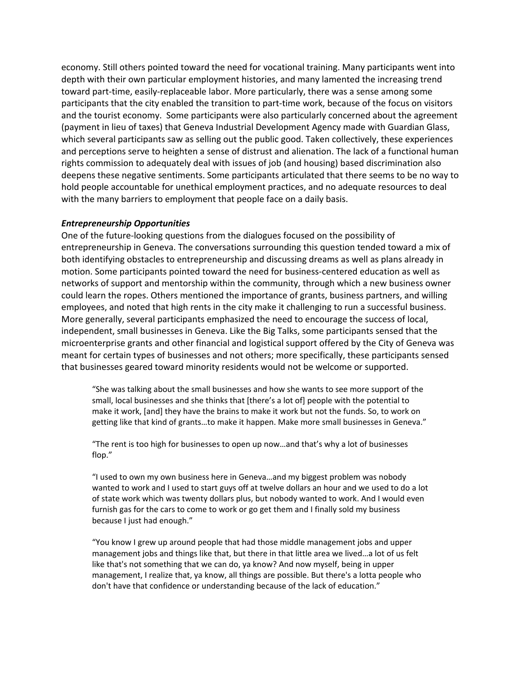economy. Still others pointed toward the need for vocational training. Many participants went into depth with their own particular employment histories, and many lamented the increasing trend toward part‐time, easily‐replaceable labor. More particularly, there was a sense among some participants that the city enabled the transition to part-time work, because of the focus on visitors and the tourist economy. Some participants were also particularly concerned about the agreement (payment in lieu of taxes) that Geneva Industrial Development Agency made with Guardian Glass, which several participants saw as selling out the public good. Taken collectively, these experiences and perceptions serve to heighten a sense of distrust and alienation. The lack of a functional human rights commission to adequately deal with issues of job (and housing) based discrimination also deepens these negative sentiments. Some participants articulated that there seems to be no way to hold people accountable for unethical employment practices, and no adequate resources to deal with the many barriers to employment that people face on a daily basis.

#### *Entrepreneurship Opportunities*

One of the future‐looking questions from the dialogues focused on the possibility of entrepreneurship in Geneva. The conversations surrounding this question tended toward a mix of both identifying obstacles to entrepreneurship and discussing dreams as well as plans already in motion. Some participants pointed toward the need for business-centered education as well as networks of support and mentorship within the community, through which a new business owner could learn the ropes. Others mentioned the importance of grants, business partners, and willing employees, and noted that high rents in the city make it challenging to run a successful business. More generally, several participants emphasized the need to encourage the success of local, independent, small businesses in Geneva. Like the Big Talks, some participants sensed that the microenterprise grants and other financial and logistical support offered by the City of Geneva was meant for certain types of businesses and not others; more specifically, these participants sensed that businesses geared toward minority residents would not be welcome or supported.

"She was talking about the small businesses and how she wants to see more support of the small, local businesses and she thinks that [there's a lot of] people with the potential to make it work, [and] they have the brains to make it work but not the funds. So, to work on getting like that kind of grants…to make it happen. Make more small businesses in Geneva."

"The rent is too high for businesses to open up now…and that's why a lot of businesses flop."

"I used to own my own business here in Geneva…and my biggest problem was nobody wanted to work and I used to start guys off at twelve dollars an hour and we used to do a lot of state work which was twenty dollars plus, but nobody wanted to work. And I would even furnish gas for the cars to come to work or go get them and I finally sold my business because I just had enough."

"You know I grew up around people that had those middle management jobs and upper management jobs and things like that, but there in that little area we lived…a lot of us felt like that's not something that we can do, ya know? And now myself, being in upper management, I realize that, ya know, all things are possible. But there's a lotta people who don't have that confidence or understanding because of the lack of education."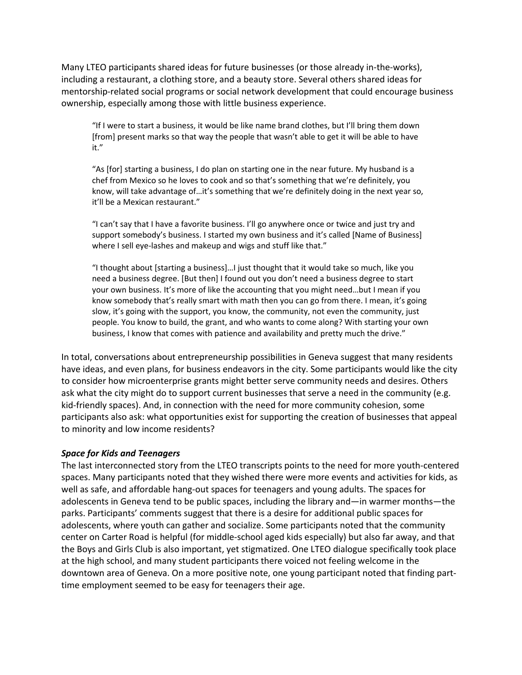Many LTEO participants shared ideas for future businesses (or those already in‐the‐works), including a restaurant, a clothing store, and a beauty store. Several others shared ideas for mentorship-related social programs or social network development that could encourage business ownership, especially among those with little business experience.

"If I were to start a business, it would be like name brand clothes, but I'll bring them down [from] present marks so that way the people that wasn't able to get it will be able to have it."

"As [for] starting a business, I do plan on starting one in the near future. My husband is a chef from Mexico so he loves to cook and so that's something that we're definitely, you know, will take advantage of...it's something that we're definitely doing in the next year so, it'll be a Mexican restaurant."

"I can't say that I have a favorite business. I'll go anywhere once or twice and just try and support somebody's business. I started my own business and it's called [Name of Business] where I sell eye-lashes and makeup and wigs and stuff like that."

"I thought about [starting a business]…I just thought that it would take so much, like you need a business degree. [But then] I found out you don't need a business degree to start your own business. It's more of like the accounting that you might need…but I mean if you know somebody that's really smart with math then you can go from there. I mean, it's going slow, it's going with the support, you know, the community, not even the community, just people. You know to build, the grant, and who wants to come along? With starting your own business, I know that comes with patience and availability and pretty much the drive."

In total, conversations about entrepreneurship possibilities in Geneva suggest that many residents have ideas, and even plans, for business endeavors in the city. Some participants would like the city to consider how microenterprise grants might better serve community needs and desires. Others ask what the city might do to support current businesses that serve a need in the community (e.g. kid-friendly spaces). And, in connection with the need for more community cohesion, some participants also ask: what opportunities exist for supporting the creation of businesses that appeal to minority and low income residents?

## *Space for Kids and Teenagers*

The last interconnected story from the LTEO transcripts points to the need for more youth‐centered spaces. Many participants noted that they wished there were more events and activities for kids, as well as safe, and affordable hang‐out spaces for teenagers and young adults. The spaces for adolescents in Geneva tend to be public spaces, including the library and—in warmer months—the parks. Participants' comments suggest that there is a desire for additional public spaces for adolescents, where youth can gather and socialize. Some participants noted that the community center on Carter Road is helpful (for middle‐school aged kids especially) but also far away, and that the Boys and Girls Club is also important, yet stigmatized. One LTEO dialogue specifically took place at the high school, and many student participants there voiced not feeling welcome in the downtown area of Geneva. On a more positive note, one young participant noted that finding part‐ time employment seemed to be easy for teenagers their age.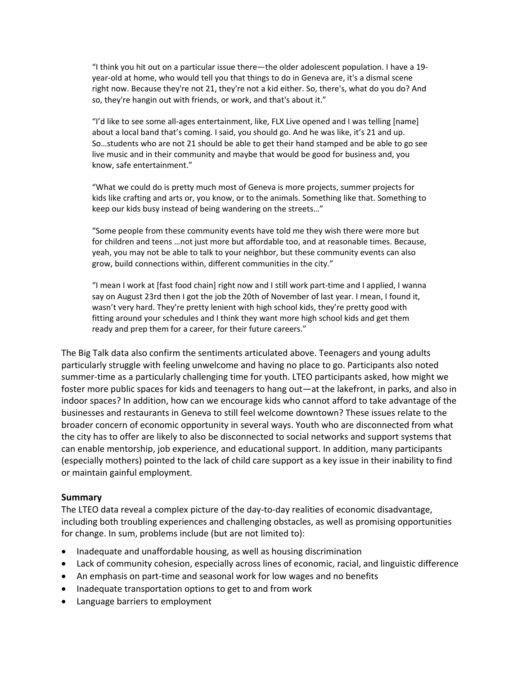"I think you hit out on a particular issue there—the older adolescent population. I have a 19‐ year-old at home, who would tell you that things to do in Geneva are, it's a dismal scene right now. Because they're not 21, they're not a kid either. So, there's, what do you do? And so, they're hangin out with friends, or work, and that's about it."

"I'd like to see some all‐ages entertainment, like, FLX Live opened and I was telling [name] about a local band that's coming. I said, you should go. And he was like, it's 21 and up. So…students who are not 21 should be able to get their hand stamped and be able to go see live music and in their community and maybe that would be good for business and, you know, safe entertainment."

"What we could do is pretty much most of Geneva is more projects, summer projects for kids like crafting and arts or, you know, or to the animals. Something like that. Something to keep our kids busy instead of being wandering on the streets…"

"Some people from these community events have told me they wish there were more but for children and teens …not just more but affordable too, and at reasonable times. Because, yeah, you may not be able to talk to your neighbor, but these community events can also grow, build connections within, different communities in the city."

"I mean I work at [fast food chain] right now and I still work part‐time and I applied, I wanna say on August 23rd then I got the job the 20th of November of last year. I mean, I found it, wasn't very hard. They're pretty lenient with high school kids, they're pretty good with fitting around your schedules and I think they want more high school kids and get them ready and prep them for a career, for their future careers."

The Big Talk data also confirm the sentiments articulated above. Teenagers and young adults particularly struggle with feeling unwelcome and having no place to go. Participants also noted summer‐time as a particularly challenging time for youth. LTEO participants asked, how might we foster more public spaces for kids and teenagers to hang out—at the lakefront, in parks, and also in indoor spaces? In addition, how can we encourage kids who cannot afford to take advantage of the businesses and restaurants in Geneva to still feel welcome downtown? These issues relate to the broader concern of economic opportunity in several ways. Youth who are disconnected from what the city has to offer are likely to also be disconnected to social networks and support systems that can enable mentorship, job experience, and educational support. In addition, many participants (especially mothers) pointed to the lack of child care support as a key issue in their inability to find or maintain gainful employment.

## **Summary**

The LTEO data reveal a complex picture of the day-to-day realities of economic disadvantage, including both troubling experiences and challenging obstacles, as well as promising opportunities for change. In sum, problems include (but are not limited to):

- Inadequate and unaffordable housing, as well as housing discrimination
- Lack of community cohesion, especially across lines of economic, racial, and linguistic difference
- An emphasis on part-time and seasonal work for low wages and no benefits
- Inadequate transportation options to get to and from work
- Language barriers to employment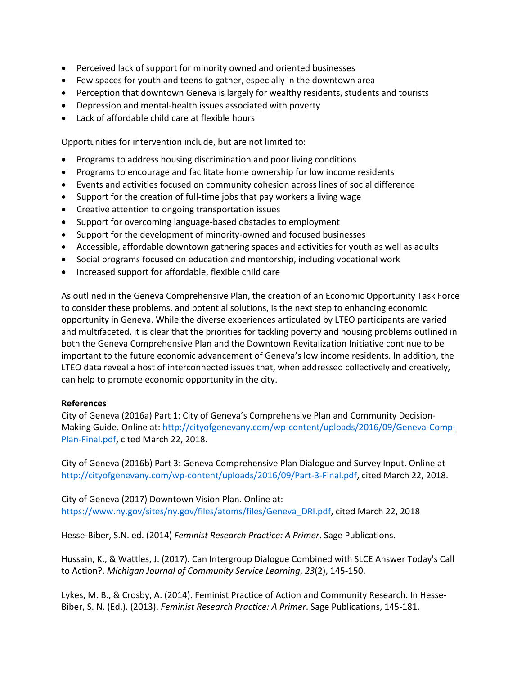- Perceived lack of support for minority owned and oriented businesses
- Few spaces for youth and teens to gather, especially in the downtown area
- Perception that downtown Geneva is largely for wealthy residents, students and tourists
- Depression and mental-health issues associated with poverty
- Lack of affordable child care at flexible hours

Opportunities for intervention include, but are not limited to:

- Programs to address housing discrimination and poor living conditions
- Programs to encourage and facilitate home ownership for low income residents
- Events and activities focused on community cohesion across lines of social difference
- Support for the creation of full-time jobs that pay workers a living wage
- Creative attention to ongoing transportation issues
- Support for overcoming language-based obstacles to employment
- Support for the development of minority-owned and focused businesses
- Accessible, affordable downtown gathering spaces and activities for youth as well as adults
- Social programs focused on education and mentorship, including vocational work
- Increased support for affordable, flexible child care

As outlined in the Geneva Comprehensive Plan, the creation of an Economic Opportunity Task Force to consider these problems, and potential solutions, is the next step to enhancing economic opportunity in Geneva. While the diverse experiences articulated by LTEO participants are varied and multifaceted, it is clear that the priorities for tackling poverty and housing problems outlined in both the Geneva Comprehensive Plan and the Downtown Revitalization Initiative continue to be important to the future economic advancement of Geneva's low income residents. In addition, the LTEO data reveal a host of interconnected issues that, when addressed collectively and creatively, can help to promote economic opportunity in the city.

## **References**

City of Geneva (2016a) Part 1: City of Geneva's Comprehensive Plan and Community Decision‐ Making Guide. Online at: http://cityofgenevany.com/wp-content/uploads/2016/09/Geneva-Comp-Plan‐Final.pdf, cited March 22, 2018.

City of Geneva (2016b) Part 3: Geneva Comprehensive Plan Dialogue and Survey Input. Online at http://cityofgenevany.com/wp-content/uploads/2016/09/Part-3-Final.pdf, cited March 22, 2018.

City of Geneva (2017) Downtown Vision Plan. Online at: https://www.ny.gov/sites/ny.gov/files/atoms/files/Geneva\_DRI.pdf, cited March 22, 2018

Hesse‐Biber, S.N. ed. (2014) *Feminist Research Practice: A Primer*. Sage Publications.

Hussain, K., & Wattles, J. (2017). Can Intergroup Dialogue Combined with SLCE Answer Today's Call to Action?. *Michigan Journal of Community Service Learning*, *23*(2), 145‐150.

Lykes, M. B., & Crosby, A. (2014). Feminist Practice of Action and Community Research. In Hesse‐ Biber, S. N. (Ed.). (2013). *Feminist Research Practice: A Primer*. Sage Publications, 145‐181.